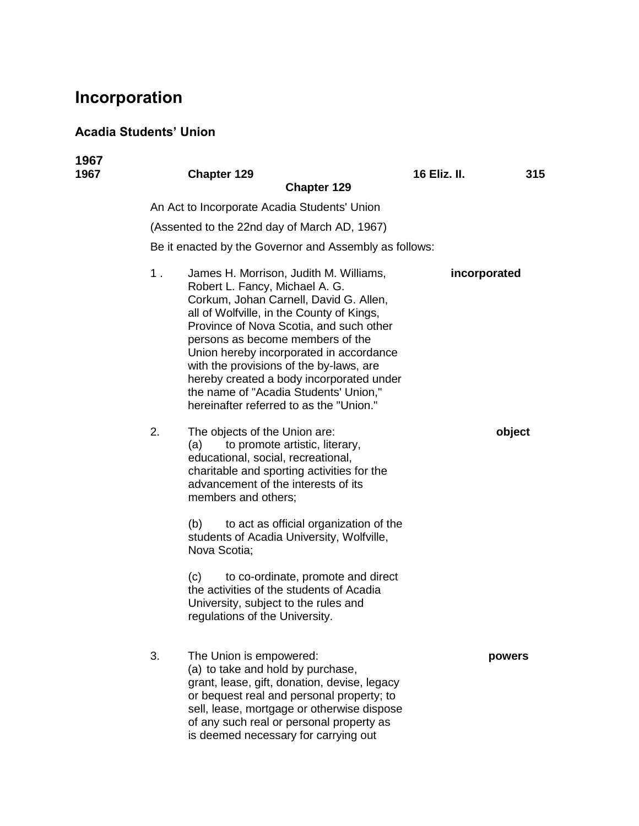## **Incorporation**

## **Acadia Students' Union**

| 1967<br>1967 |       | <b>Chapter 129</b><br><b>Chapter 129</b>                                                                                                                                                                                                                                                                                                                                                                                                                             | <b>16 Eliz. II.</b> | 315    |  |  |  |
|--------------|-------|----------------------------------------------------------------------------------------------------------------------------------------------------------------------------------------------------------------------------------------------------------------------------------------------------------------------------------------------------------------------------------------------------------------------------------------------------------------------|---------------------|--------|--|--|--|
|              |       | An Act to Incorporate Acadia Students' Union                                                                                                                                                                                                                                                                                                                                                                                                                         |                     |        |  |  |  |
|              |       | (Assented to the 22nd day of March AD, 1967)                                                                                                                                                                                                                                                                                                                                                                                                                         |                     |        |  |  |  |
|              |       | Be it enacted by the Governor and Assembly as follows:                                                                                                                                                                                                                                                                                                                                                                                                               |                     |        |  |  |  |
|              | $1$ . | James H. Morrison, Judith M. Williams,<br>Robert L. Fancy, Michael A. G.<br>Corkum, Johan Carnell, David G. Allen,<br>all of Wolfville, in the County of Kings,<br>Province of Nova Scotia, and such other<br>persons as become members of the<br>Union hereby incorporated in accordance<br>with the provisions of the by-laws, are<br>hereby created a body incorporated under<br>the name of "Acadia Students' Union,"<br>hereinafter referred to as the "Union." | incorporated        |        |  |  |  |
|              | 2.    | The objects of the Union are:<br>to promote artistic, literary,<br>(a)<br>educational, social, recreational,<br>charitable and sporting activities for the<br>advancement of the interests of its<br>members and others;                                                                                                                                                                                                                                             |                     | object |  |  |  |
|              |       | (b)<br>to act as official organization of the<br>students of Acadia University, Wolfville,<br>Nova Scotia;                                                                                                                                                                                                                                                                                                                                                           |                     |        |  |  |  |
|              |       | (c)<br>to co-ordinate, promote and direct<br>the activities of the students of Acadia<br>University, subject to the rules and<br>regulations of the University.                                                                                                                                                                                                                                                                                                      |                     |        |  |  |  |
|              | 3.    | The Union is empowered:<br>(a) to take and hold by purchase,<br>grant, lease, gift, donation, devise, legacy<br>or bequest real and personal property; to<br>sell, lease, mortgage or otherwise dispose<br>of any such real or personal property as<br>is deemed necessary for carrying out                                                                                                                                                                          |                     | powers |  |  |  |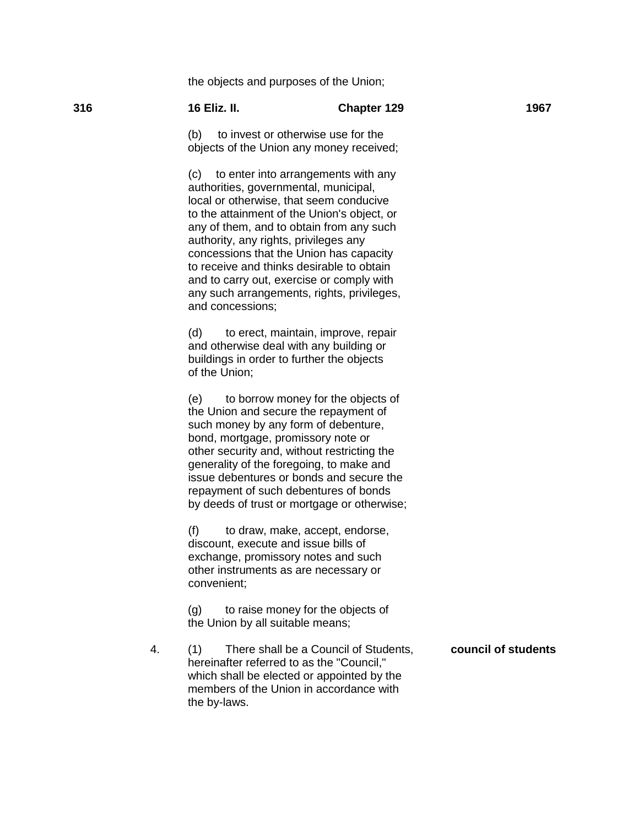the objects and purposes of the Union;

| 316 | <b>16 Eliz. II.</b>                                                                   | <b>Chapter 129</b>                                                                                                                                                                                                                                                                                                                                                                                        | 1967                |
|-----|---------------------------------------------------------------------------------------|-----------------------------------------------------------------------------------------------------------------------------------------------------------------------------------------------------------------------------------------------------------------------------------------------------------------------------------------------------------------------------------------------------------|---------------------|
|     | to invest or otherwise use for the<br>(b)<br>objects of the Union any money received; |                                                                                                                                                                                                                                                                                                                                                                                                           |                     |
|     | authority, any rights, privileges any<br>and concessions;                             | (c) to enter into arrangements with any<br>authorities, governmental, municipal,<br>local or otherwise, that seem conducive<br>to the attainment of the Union's object, or<br>any of them, and to obtain from any such<br>concessions that the Union has capacity<br>to receive and thinks desirable to obtain<br>and to carry out, exercise or comply with<br>any such arrangements, rights, privileges, |                     |
|     | (d)<br>of the Union;                                                                  | to erect, maintain, improve, repair<br>and otherwise deal with any building or<br>buildings in order to further the objects                                                                                                                                                                                                                                                                               |                     |
|     | (e)                                                                                   | to borrow money for the objects of<br>the Union and secure the repayment of<br>such money by any form of debenture,<br>bond, mortgage, promissory note or<br>other security and, without restricting the<br>generality of the foregoing, to make and<br>issue debentures or bonds and secure the<br>repayment of such debentures of bonds<br>by deeds of trust or mortgage or otherwise;                  |                     |
|     | (f)<br>convenient;                                                                    | to draw, make, accept, endorse,<br>discount, execute and issue bills of<br>exchange, promissory notes and such<br>other instruments as are necessary or                                                                                                                                                                                                                                                   |                     |
|     | (g)<br>the Union by all suitable means;                                               | to raise money for the objects of                                                                                                                                                                                                                                                                                                                                                                         |                     |
| 4.  | (1)<br>the by-laws.                                                                   | There shall be a Council of Students,<br>hereinafter referred to as the "Council,"<br>which shall be elected or appointed by the<br>members of the Union in accordance with                                                                                                                                                                                                                               | council of students |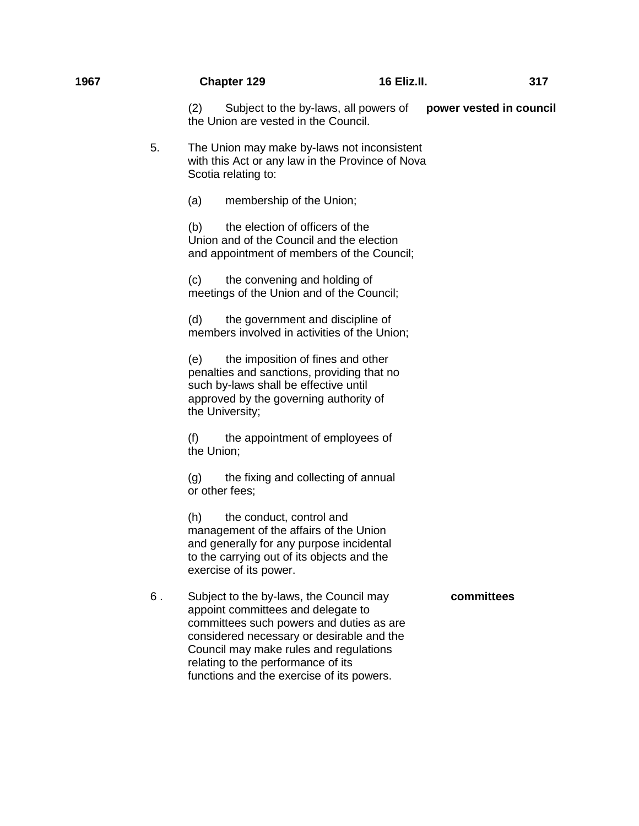| 1967 |    | <b>Chapter 129</b>                                                                                                                                                                                                                                                                                  | <b>16 Eliz.II.</b> | 317                     |
|------|----|-----------------------------------------------------------------------------------------------------------------------------------------------------------------------------------------------------------------------------------------------------------------------------------------------------|--------------------|-------------------------|
|      |    | (2)<br>Subject to the by-laws, all powers of<br>the Union are vested in the Council.                                                                                                                                                                                                                |                    | power vested in council |
|      | 5. | The Union may make by-laws not inconsistent<br>with this Act or any law in the Province of Nova<br>Scotia relating to:                                                                                                                                                                              |                    |                         |
|      |    | (a)<br>membership of the Union;                                                                                                                                                                                                                                                                     |                    |                         |
|      |    | the election of officers of the<br>(b)<br>Union and of the Council and the election<br>and appointment of members of the Council;                                                                                                                                                                   |                    |                         |
|      |    | the convening and holding of<br>(c)<br>meetings of the Union and of the Council;                                                                                                                                                                                                                    |                    |                         |
|      |    | (d)<br>the government and discipline of<br>members involved in activities of the Union;                                                                                                                                                                                                             |                    |                         |
|      |    | the imposition of fines and other<br>(e)<br>penalties and sanctions, providing that no<br>such by-laws shall be effective until<br>approved by the governing authority of<br>the University;                                                                                                        |                    |                         |
|      |    | the appointment of employees of<br>(f)<br>the Union;                                                                                                                                                                                                                                                |                    |                         |
|      |    | the fixing and collecting of annual<br>(g)<br>or other fees;                                                                                                                                                                                                                                        |                    |                         |
|      |    | (h)<br>the conduct, control and<br>management of the affairs of the Union<br>and generally for any purpose incidental<br>to the carrying out of its objects and the<br>exercise of its power.                                                                                                       |                    |                         |
|      | 6. | Subject to the by-laws, the Council may<br>appoint committees and delegate to<br>committees such powers and duties as are<br>considered necessary or desirable and the<br>Council may make rules and regulations<br>relating to the performance of its<br>functions and the exercise of its powers. |                    | committees              |
|      |    |                                                                                                                                                                                                                                                                                                     |                    |                         |